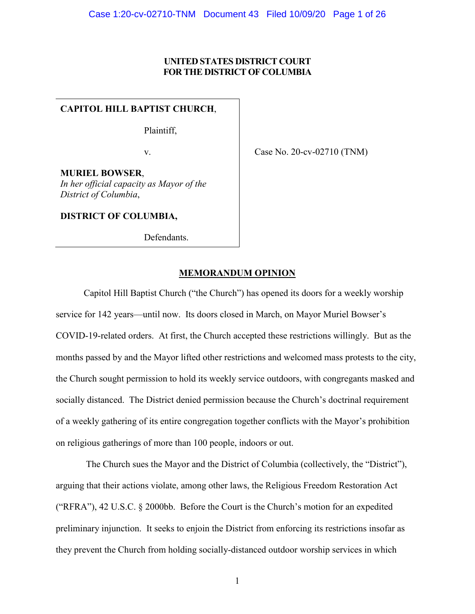# **UNITED STATES DISTRICT COURT FOR THE DISTRICT OF COLUMBIA**

# **CAPITOL HILL BAPTIST CHURCH**,

Plaintiff,

v.

Case No. 20-cv-02710 (TNM)

**MURIEL BOWSER**, *In her official capacity as Mayor of the District of Columbia*,

**DISTRICT OF COLUMBIA,**

Defendants.

# **MEMORANDUM OPINION**

Capitol Hill Baptist Church ("the Church") has opened its doors for a weekly worship service for 142 years—until now. Its doors closed in March, on Mayor Muriel Bowser's COVID-19-related orders. At first, the Church accepted these restrictions willingly. But as the months passed by and the Mayor lifted other restrictions and welcomed mass protests to the city, the Church sought permission to hold its weekly service outdoors, with congregants masked and socially distanced. The District denied permission because the Church's doctrinal requirement of a weekly gathering of its entire congregation together conflicts with the Mayor's prohibition on religious gatherings of more than 100 people, indoors or out.

The Church sues the Mayor and the District of Columbia (collectively, the "District"), arguing that their actions violate, among other laws, the Religious Freedom Restoration Act ("RFRA"), 42 U.S.C. § 2000bb. Before the Court is the Church's motion for an expedited preliminary injunction. It seeks to enjoin the District from enforcing its restrictions insofar as they prevent the Church from holding socially-distanced outdoor worship services in which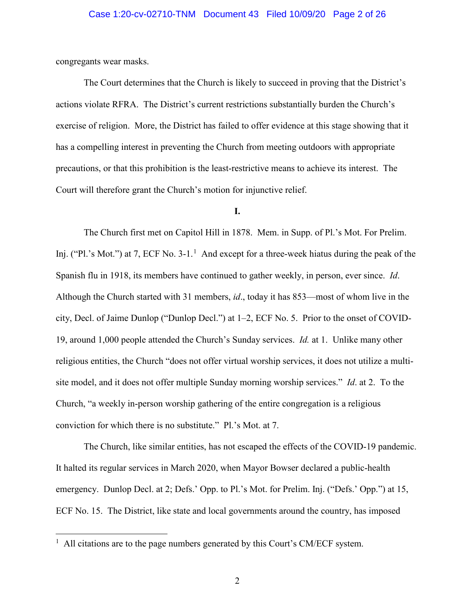# Case 1:20-cv-02710-TNM Document 43 Filed 10/09/20 Page 2 of 26

congregants wear masks.

The Court determines that the Church is likely to succeed in proving that the District's actions violate RFRA. The District's current restrictions substantially burden the Church's exercise of religion. More, the District has failed to offer evidence at this stage showing that it has a compelling interest in preventing the Church from meeting outdoors with appropriate precautions, or that this prohibition is the least-restrictive means to achieve its interest. The Court will therefore grant the Church's motion for injunctive relief.

# **I.**

The Church first met on Capitol Hill in 1878. Mem. in Supp. of Pl.'s Mot. For Prelim. Inj. ("Pl.'s Mot.") at 7, ECF No. 3-[1](#page-1-0).<sup>1</sup> And except for a three-week hiatus during the peak of the Spanish flu in 1918, its members have continued to gather weekly, in person, ever since. *Id*. Although the Church started with 31 members, *id*., today it has 853—most of whom live in the city, Decl. of Jaime Dunlop ("Dunlop Decl.") at 1–2, ECF No. 5. Prior to the onset of COVID-19, around 1,000 people attended the Church's Sunday services. *Id.* at 1. Unlike many other religious entities, the Church "does not offer virtual worship services, it does not utilize a multisite model, and it does not offer multiple Sunday morning worship services." *Id*. at 2. To the Church, "a weekly in-person worship gathering of the entire congregation is a religious conviction for which there is no substitute." Pl.'s Mot. at 7.

The Church, like similar entities, has not escaped the effects of the COVID-19 pandemic. It halted its regular services in March 2020, when Mayor Bowser declared a public-health emergency. Dunlop Decl. at 2; Defs.' Opp. to Pl.'s Mot. for Prelim. Inj. ("Defs.' Opp.") at 15, ECF No. 15. The District, like state and local governments around the country, has imposed

<span id="page-1-0"></span> $\frac{1}{1}$  $1$  All citations are to the page numbers generated by this Court's CM/ECF system.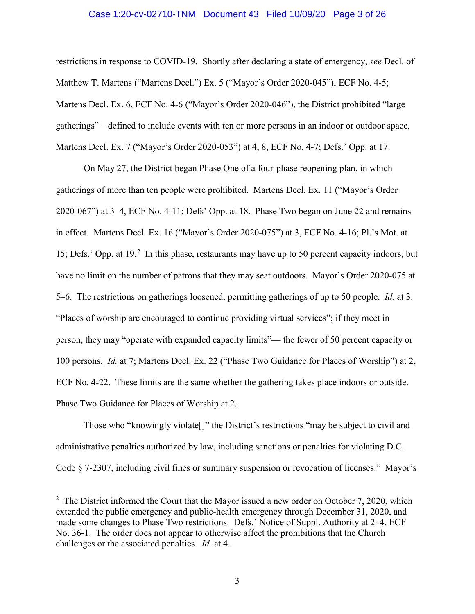#### Case 1:20-cv-02710-TNM Document 43 Filed 10/09/20 Page 3 of 26

restrictions in response to COVID-19. Shortly after declaring a state of emergency, *see* Decl. of Matthew T. Martens ("Martens Decl.") Ex. 5 ("Mayor's Order 2020-045"), ECF No. 4-5; Martens Decl. Ex. 6, ECF No. 4-6 ("Mayor's Order 2020-046"), the District prohibited "large gatherings"—defined to include events with ten or more persons in an indoor or outdoor space, Martens Decl. Ex. 7 ("Mayor's Order 2020-053") at 4, 8, ECF No. 4-7; Defs.' Opp. at 17.

On May 27, the District began Phase One of a four-phase reopening plan, in which gatherings of more than ten people were prohibited. Martens Decl. Ex. 11 ("Mayor's Order 2020-067") at 3–4, ECF No. 4-11; Defs' Opp. at 18. Phase Two began on June 22 and remains in effect. Martens Decl. Ex. 16 ("Mayor's Order 2020-075") at 3, ECF No. 4-16; Pl.'s Mot. at 15; Defs.' Opp. at 19.<sup>[2](#page-2-0)</sup> In this phase, restaurants may have up to 50 percent capacity indoors, but have no limit on the number of patrons that they may seat outdoors. Mayor's Order 2020-075 at 5–6. The restrictions on gatherings loosened, permitting gatherings of up to 50 people. *Id.* at 3. "Places of worship are encouraged to continue providing virtual services"; if they meet in person, they may "operate with expanded capacity limits"— the fewer of 50 percent capacity or 100 persons. *Id.* at 7; Martens Decl. Ex. 22 ("Phase Two Guidance for Places of Worship") at 2, ECF No. 4-22. These limits are the same whether the gathering takes place indoors or outside. Phase Two Guidance for Places of Worship at 2.

Those who "knowingly violate[]" the District's restrictions "may be subject to civil and administrative penalties authorized by law, including sanctions or penalties for violating D.C. Code § 7-2307, including civil fines or summary suspension or revocation of licenses." Mayor's

<span id="page-2-0"></span> $\frac{1}{2}$  $2\degree$  The District informed the Court that the Mayor issued a new order on October 7, 2020, which extended the public emergency and public-health emergency through December 31, 2020, and made some changes to Phase Two restrictions. Defs.' Notice of Suppl. Authority at 2–4, ECF No. 36-1. The order does not appear to otherwise affect the prohibitions that the Church challenges or the associated penalties. *Id.* at 4.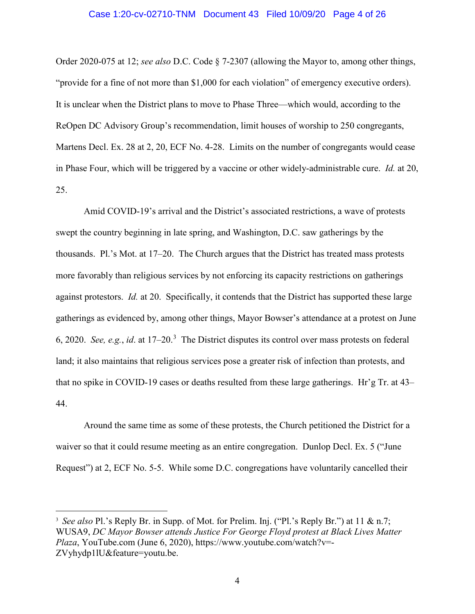#### Case 1:20-cv-02710-TNM Document 43 Filed 10/09/20 Page 4 of 26

Order 2020-075 at 12; *see also* D.C. Code § 7-2307 (allowing the Mayor to, among other things, "provide for a fine of not more than \$1,000 for each violation" of emergency executive orders). It is unclear when the District plans to move to Phase Three—which would, according to the ReOpen DC Advisory Group's recommendation, limit houses of worship to 250 congregants, Martens Decl. Ex. 28 at 2, 20, ECF No. 4-28. Limits on the number of congregants would cease in Phase Four, which will be triggered by a vaccine or other widely-administrable cure. *Id.* at 20, 25.

Amid COVID-19's arrival and the District's associated restrictions, a wave of protests swept the country beginning in late spring, and Washington, D.C. saw gatherings by the thousands. Pl.'s Mot. at 17–20. The Church argues that the District has treated mass protests more favorably than religious services by not enforcing its capacity restrictions on gatherings against protestors. *Id.* at 20. Specifically, it contends that the District has supported these large gatherings as evidenced by, among other things, Mayor Bowser's attendance at a protest on June 6, 2020. *See, e.g.*, *id*. at 17–20. [3](#page-3-0) The District disputes its control over mass protests on federal land; it also maintains that religious services pose a greater risk of infection than protests, and that no spike in COVID-19 cases or deaths resulted from these large gatherings. Hr'g Tr. at 43– 44.

Around the same time as some of these protests, the Church petitioned the District for a waiver so that it could resume meeting as an entire congregation. Dunlop Decl. Ex. 5 ("June") Request") at 2, ECF No. 5-5. While some D.C. congregations have voluntarily cancelled their

<span id="page-3-0"></span> <sup>3</sup> *See also* Pl.'s Reply Br. in Supp. of Mot. for Prelim. Inj. ("Pl.'s Reply Br.") at 11 & n.7; WUSA9, *DC Mayor Bowser attends Justice For George Floyd protest at Black Lives Matter Plaza*, YouTube.com (June 6, 2020), https://www.youtube.com/watch?v=- ZVyhydp1lU&feature=youtu.be.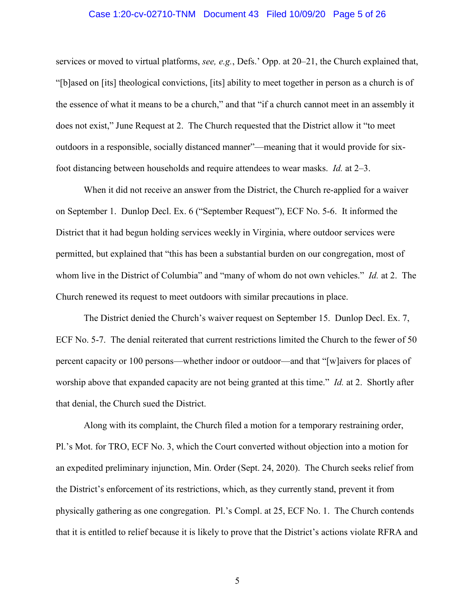#### Case 1:20-cv-02710-TNM Document 43 Filed 10/09/20 Page 5 of 26

services or moved to virtual platforms, *see, e.g.*, Defs.' Opp. at 20–21, the Church explained that, "[b]ased on [its] theological convictions, [its] ability to meet together in person as a church is of the essence of what it means to be a church," and that "if a church cannot meet in an assembly it does not exist," June Request at 2. The Church requested that the District allow it "to meet outdoors in a responsible, socially distanced manner"—meaning that it would provide for sixfoot distancing between households and require attendees to wear masks. *Id.* at 2–3.

When it did not receive an answer from the District, the Church re-applied for a waiver on September 1. Dunlop Decl. Ex. 6 ("September Request"), ECF No. 5-6. It informed the District that it had begun holding services weekly in Virginia, where outdoor services were permitted, but explained that "this has been a substantial burden on our congregation, most of whom live in the District of Columbia" and "many of whom do not own vehicles." *Id.* at 2. The Church renewed its request to meet outdoors with similar precautions in place.

The District denied the Church's waiver request on September 15. Dunlop Decl. Ex. 7, ECF No. 5-7. The denial reiterated that current restrictions limited the Church to the fewer of 50 percent capacity or 100 persons—whether indoor or outdoor—and that "[w]aivers for places of worship above that expanded capacity are not being granted at this time." *Id.* at 2. Shortly after that denial, the Church sued the District.

Along with its complaint, the Church filed a motion for a temporary restraining order, Pl.'s Mot. for TRO, ECF No. 3, which the Court converted without objection into a motion for an expedited preliminary injunction, Min. Order (Sept. 24, 2020). The Church seeks relief from the District's enforcement of its restrictions, which, as they currently stand, prevent it from physically gathering as one congregation. Pl.'s Compl. at 25, ECF No. 1. The Church contends that it is entitled to relief because it is likely to prove that the District's actions violate RFRA and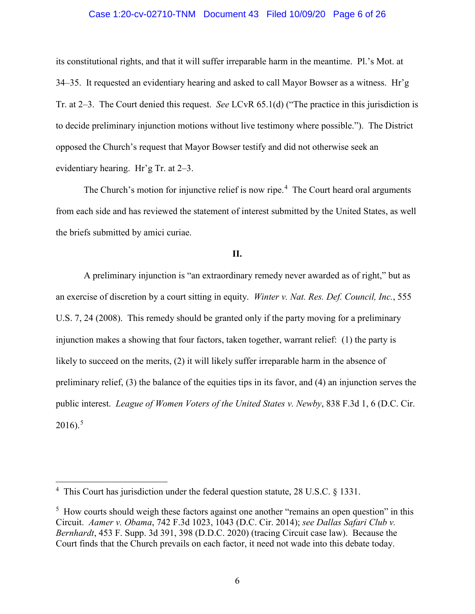# Case 1:20-cv-02710-TNM Document 43 Filed 10/09/20 Page 6 of 26

its constitutional rights, and that it will suffer irreparable harm in the meantime. Pl.'s Mot. at 34–35. It requested an evidentiary hearing and asked to call Mayor Bowser as a witness. Hr'g Tr. at 2–3. The Court denied this request. *See* LCvR 65.1(d) ("The practice in this jurisdiction is to decide preliminary injunction motions without live testimony where possible."). The District opposed the Church's request that Mayor Bowser testify and did not otherwise seek an evidentiary hearing. Hr'g Tr. at 2–3.

The Church's motion for injunctive relief is now ripe. $4$  The Court heard oral arguments from each side and has reviewed the statement of interest submitted by the United States, as well the briefs submitted by amici curiae.

# **II.**

A preliminary injunction is "an extraordinary remedy never awarded as of right," but as an exercise of discretion by a court sitting in equity. *Winter v. Nat. Res. Def. Council, Inc.*, 555 U.S. 7, 24 (2008). This remedy should be granted only if the party moving for a preliminary injunction makes a showing that four factors, taken together, warrant relief: (1) the party is likely to succeed on the merits, (2) it will likely suffer irreparable harm in the absence of preliminary relief, (3) the balance of the equities tips in its favor, and (4) an injunction serves the public interest. *League of Women Voters of the United States v. Newby*, 838 F.3d 1, 6 (D.C. Cir.  $2016$ ).<sup>[5](#page-5-1)</sup>

<span id="page-5-0"></span> $\frac{1}{4}$ <sup>4</sup> This Court has jurisdiction under the federal question statute, 28 U.S.C. § 1331.

<span id="page-5-1"></span><sup>&</sup>lt;sup>5</sup> How courts should weigh these factors against one another "remains an open question" in this Circuit. *Aamer v. Obama*, 742 F.3d 1023, 1043 (D.C. Cir. 2014); *see Dallas Safari Club v. Bernhardt*, 453 F. Supp. 3d 391, 398 (D.D.C. 2020) (tracing Circuit case law). Because the Court finds that the Church prevails on each factor, it need not wade into this debate today.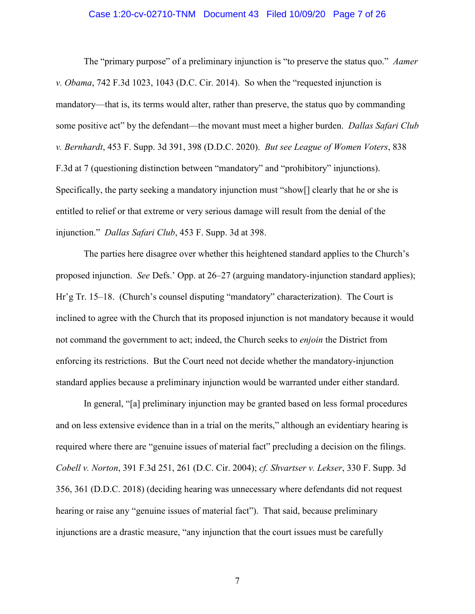#### Case 1:20-cv-02710-TNM Document 43 Filed 10/09/20 Page 7 of 26

The "primary purpose" of a preliminary injunction is "to preserve the status quo." *Aamer v. Obama*, 742 F.3d 1023, 1043 (D.C. Cir. 2014). So when the "requested injunction is mandatory—that is, its terms would alter, rather than preserve, the status quo by commanding some positive act" by the defendant—the movant must meet a higher burden. *Dallas Safari Club v. Bernhardt*, 453 F. Supp. 3d 391, 398 (D.D.C. 2020). *But see League of Women Voters*, 838 F.3d at 7 (questioning distinction between "mandatory" and "prohibitory" injunctions). Specifically, the party seeking a mandatory injunction must "show[] clearly that he or she is entitled to relief or that extreme or very serious damage will result from the denial of the injunction." *Dallas Safari Club*, 453 F. Supp. 3d at 398.

The parties here disagree over whether this heightened standard applies to the Church's proposed injunction. *See* Defs.' Opp. at 26–27 (arguing mandatory-injunction standard applies); Hr'g Tr. 15–18. (Church's counsel disputing "mandatory" characterization). The Court is inclined to agree with the Church that its proposed injunction is not mandatory because it would not command the government to act; indeed, the Church seeks to *enjoin* the District from enforcing its restrictions. But the Court need not decide whether the mandatory-injunction standard applies because a preliminary injunction would be warranted under either standard.

In general, "[a] preliminary injunction may be granted based on less formal procedures and on less extensive evidence than in a trial on the merits," although an evidentiary hearing is required where there are "genuine issues of material fact" precluding a decision on the filings. *Cobell v. Norton*, 391 F.3d 251, 261 (D.C. Cir. 2004); *cf. Shvartser v. Lekser*, 330 F. Supp. 3d 356, 361 (D.D.C. 2018) (deciding hearing was unnecessary where defendants did not request hearing or raise any "genuine issues of material fact"). That said, because preliminary injunctions are a drastic measure, "any injunction that the court issues must be carefully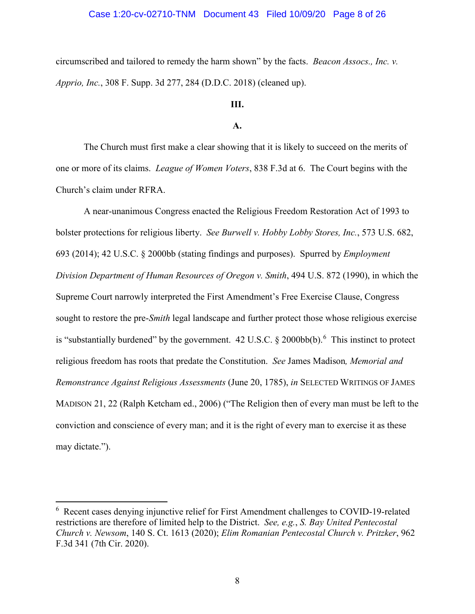# Case 1:20-cv-02710-TNM Document 43 Filed 10/09/20 Page 8 of 26

circumscribed and tailored to remedy the harm shown" by the facts. *Beacon Assocs., Inc. v. Apprio, Inc.*, 308 F. Supp. 3d 277, 284 (D.D.C. 2018) (cleaned up).

# **III.**

#### **A.**

The Church must first make a clear showing that it is likely to succeed on the merits of one or more of its claims. *League of Women Voters*, 838 F.3d at 6. The Court begins with the Church's claim under RFRA.

A near-unanimous Congress enacted the Religious Freedom Restoration Act of 1993 to bolster protections for religious liberty. *See Burwell v. Hobby Lobby Stores, Inc.*, 573 U.S. 682, 693 (2014); 42 U.S.C. § 2000bb (stating findings and purposes). Spurred by *Employment Division Department of Human Resources of Oregon v. Smith*, 494 U.S. 872 (1990), in which the Supreme Court narrowly interpreted the First Amendment's Free Exercise Clause, Congress sought to restore the pre-*Smith* legal landscape and further protect those whose religious exercise is "substantially burdened" by the government.  $42 \text{ U.S.C.}$  §  $2000 \text{bb(b)}$ . This instinct to protect religious freedom has roots that predate the Constitution. *See* James Madison*, Memorial and Remonstrance Against Religious Assessments* (June 20, 1785), *in* SELECTED WRITINGS OF JAMES MADISON 21, 22 (Ralph Ketcham ed., 2006) ("The Religion then of every man must be left to the conviction and conscience of every man; and it is the right of every man to exercise it as these may dictate.").

<span id="page-7-0"></span> $\frac{1}{6}$  Recent cases denying injunctive relief for First Amendment challenges to COVID-19-related restrictions are therefore of limited help to the District. *See, e.g.*, *S. Bay United Pentecostal Church v. Newsom*, 140 S. Ct. 1613 (2020); *Elim Romanian Pentecostal Church v. Pritzker*, 962 F.3d 341 (7th Cir. 2020).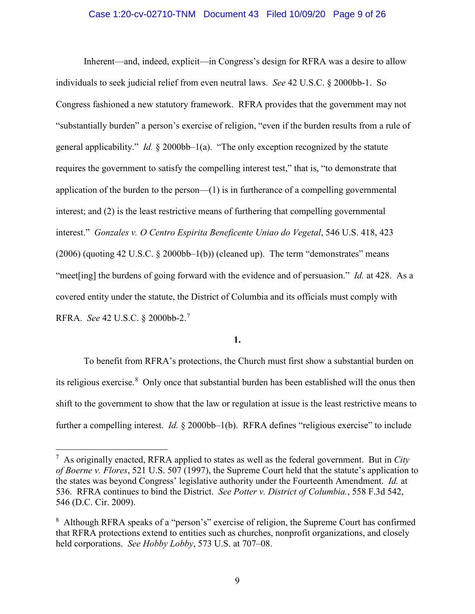# Case 1:20-cv-02710-TNM Document 43 Filed 10/09/20 Page 9 of 26

Inherent—and, indeed, explicit—in Congress's design for RFRA was a desire to allow individuals to seek judicial relief from even neutral laws. *See* 42 U.S.C. § 2000bb-1. So Congress fashioned a new statutory framework. RFRA provides that the government may not "substantially burden" a person's exercise of religion, "even if the burden results from a rule of general applicability." *Id.* § 2000bb–1(a). "The only exception recognized by the statute requires the government to satisfy the compelling interest test," that is, "to demonstrate that application of the burden to the person—(1) is in furtherance of a compelling governmental interest; and (2) is the least restrictive means of furthering that compelling governmental interest." *Gonzales v. O Centro Espirita Beneficente Uniao do Vegetal*, 546 U.S. 418, 423  $(2006)$  (quoting 42 U.S.C. § 2000bb–1(b)) (cleaned up). The term "demonstrates" means "meet[ing] the burdens of going forward with the evidence and of persuasion." *Id.* at 428. As a covered entity under the statute, the District of Columbia and its officials must comply with RFRA. *See* 42 U.S.C. § 2000bb-2.[7](#page-8-0)

# **1.**

To benefit from RFRA's protections, the Church must first show a substantial burden on its religious exercise.<sup>[8](#page-8-1)</sup> Only once that substantial burden has been established will the onus then shift to the government to show that the law or regulation at issue is the least restrictive means to further a compelling interest. *Id.* § 2000bb–1(b). RFRA defines "religious exercise" to include

<span id="page-8-0"></span> <sup>7</sup>  $^7$  As originally enacted, RFRA applied to states as well as the federal government. But in *City of Boerne v. Flores*, 521 U.S. 507 (1997), the Supreme Court held that the statute's application to the states was beyond Congress' legislative authority under the Fourteenth Amendment. *Id.* at 536. RFRA continues to bind the District. *See Potter v. District of Columbia.*, 558 F.3d 542, 546 (D.C. Cir. 2009).

<span id="page-8-1"></span><sup>&</sup>lt;sup>8</sup> Although RFRA speaks of a "person's" exercise of religion, the Supreme Court has confirmed that RFRA protections extend to entities such as churches, nonprofit organizations, and closely held corporations. *See Hobby Lobby*, 573 U.S. at 707–08.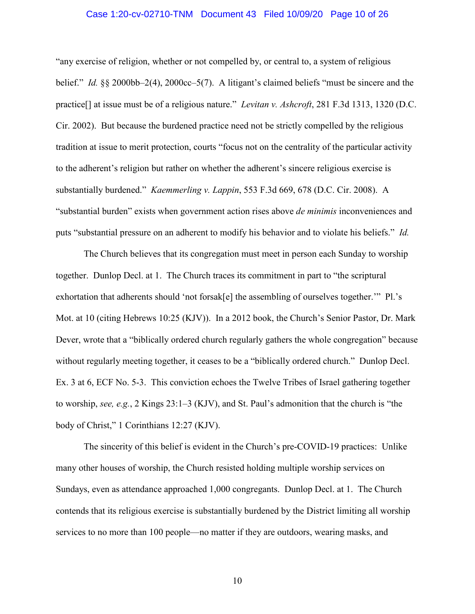# Case 1:20-cv-02710-TNM Document 43 Filed 10/09/20 Page 10 of 26

"any exercise of religion, whether or not compelled by, or central to, a system of religious belief." *Id.* §§ 2000bb–2(4), 2000cc–5(7). A litigant's claimed beliefs "must be sincere and the practice[] at issue must be of a religious nature." *Levitan v. Ashcroft*, 281 F.3d 1313, 1320 (D.C. Cir. 2002). But because the burdened practice need not be strictly compelled by the religious tradition at issue to merit protection, courts "focus not on the centrality of the particular activity to the adherent's religion but rather on whether the adherent's sincere religious exercise is substantially burdened." *Kaemmerling v. Lappin*, 553 F.3d 669, 678 (D.C. Cir. 2008). A "substantial burden" exists when government action rises above *de minimis* inconveniences and puts "substantial pressure on an adherent to modify his behavior and to violate his beliefs." *Id.*

The Church believes that its congregation must meet in person each Sunday to worship together. Dunlop Decl. at 1. The Church traces its commitment in part to "the scriptural exhortation that adherents should 'not forsak[e] the assembling of ourselves together.'" Pl.'s Mot. at 10 (citing Hebrews 10:25 (KJV)). In a 2012 book, the Church's Senior Pastor, Dr. Mark Dever, wrote that a "biblically ordered church regularly gathers the whole congregation" because without regularly meeting together, it ceases to be a "biblically ordered church." Dunlop Decl. Ex. 3 at 6, ECF No. 5-3. This conviction echoes the Twelve Tribes of Israel gathering together to worship, *see, e.g.*, 2 Kings 23:1–3 (KJV), and St. Paul's admonition that the church is "the body of Christ," 1 Corinthians 12:27 (KJV).

The sincerity of this belief is evident in the Church's pre-COVID-19 practices: Unlike many other houses of worship, the Church resisted holding multiple worship services on Sundays, even as attendance approached 1,000 congregants. Dunlop Decl. at 1. The Church contends that its religious exercise is substantially burdened by the District limiting all worship services to no more than 100 people—no matter if they are outdoors, wearing masks, and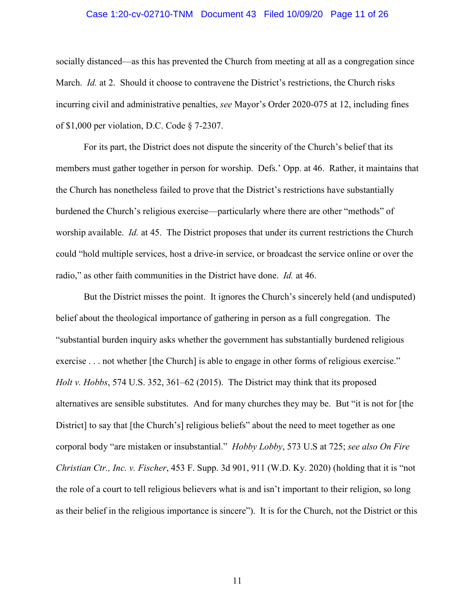# Case 1:20-cv-02710-TNM Document 43 Filed 10/09/20 Page 11 of 26

socially distanced—as this has prevented the Church from meeting at all as a congregation since March. *Id.* at 2. Should it choose to contravene the District's restrictions, the Church risks incurring civil and administrative penalties, *see* Mayor's Order 2020-075 at 12, including fines of \$1,000 per violation, D.C. Code § 7-2307.

For its part, the District does not dispute the sincerity of the Church's belief that its members must gather together in person for worship. Defs.' Opp. at 46. Rather, it maintains that the Church has nonetheless failed to prove that the District's restrictions have substantially burdened the Church's religious exercise—particularly where there are other "methods" of worship available. *Id.* at 45. The District proposes that under its current restrictions the Church could "hold multiple services, host a drive-in service, or broadcast the service online or over the radio," as other faith communities in the District have done. *Id.* at 46.

But the District misses the point. It ignores the Church's sincerely held (and undisputed) belief about the theological importance of gathering in person as a full congregation. The "substantial burden inquiry asks whether the government has substantially burdened religious exercise . . . not whether [the Church] is able to engage in other forms of religious exercise." *Holt v. Hobbs*, 574 U.S. 352, 361–62 (2015). The District may think that its proposed alternatives are sensible substitutes. And for many churches they may be. But "it is not for [the District] to say that [the Church's] religious beliefs" about the need to meet together as one corporal body "are mistaken or insubstantial." *Hobby Lobby*, 573 U.S at 725; *see also On Fire Christian Ctr., Inc. v. Fischer*, 453 F. Supp. 3d 901, 911 (W.D. Ky. 2020) (holding that it is "not the role of a court to tell religious believers what is and isn't important to their religion, so long as their belief in the religious importance is sincere"). It is for the Church, not the District or this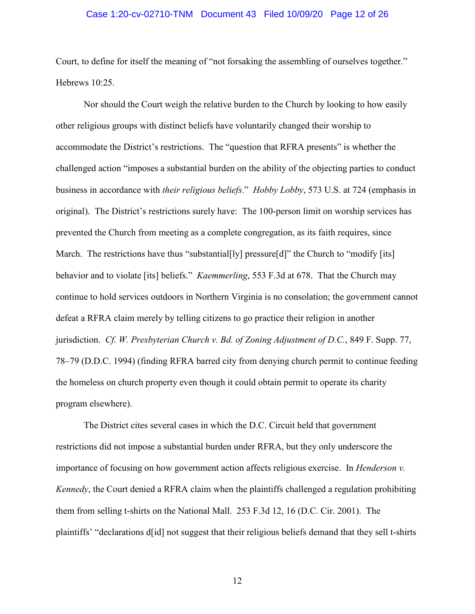## Case 1:20-cv-02710-TNM Document 43 Filed 10/09/20 Page 12 of 26

Court, to define for itself the meaning of "not forsaking the assembling of ourselves together." Hebrews 10:25.

Nor should the Court weigh the relative burden to the Church by looking to how easily other religious groups with distinct beliefs have voluntarily changed their worship to accommodate the District's restrictions. The "question that RFRA presents" is whether the challenged action "imposes a substantial burden on the ability of the objecting parties to conduct business in accordance with *their religious beliefs*." *Hobby Lobby*, 573 U.S. at 724 (emphasis in original). The District's restrictions surely have: The 100-person limit on worship services has prevented the Church from meeting as a complete congregation, as its faith requires, since March. The restrictions have thus "substantial [ly] pressure [d]" the Church to "modify [its] behavior and to violate [its] beliefs." *Kaemmerling*, 553 F.3d at 678. That the Church may continue to hold services outdoors in Northern Virginia is no consolation; the government cannot defeat a RFRA claim merely by telling citizens to go practice their religion in another jurisdiction. *Cf. W. Presbyterian Church v. Bd. of Zoning Adjustment of D.C.*, 849 F. Supp. 77, 78–79 (D.D.C. 1994) (finding RFRA barred city from denying church permit to continue feeding the homeless on church property even though it could obtain permit to operate its charity program elsewhere).

The District cites several cases in which the D.C. Circuit held that government restrictions did not impose a substantial burden under RFRA, but they only underscore the importance of focusing on how government action affects religious exercise. In *Henderson v. Kennedy*, the Court denied a RFRA claim when the plaintiffs challenged a regulation prohibiting them from selling t-shirts on the National Mall. 253 F.3d 12, 16 (D.C. Cir. 2001). The plaintiffs' "declarations d[id] not suggest that their religious beliefs demand that they sell t-shirts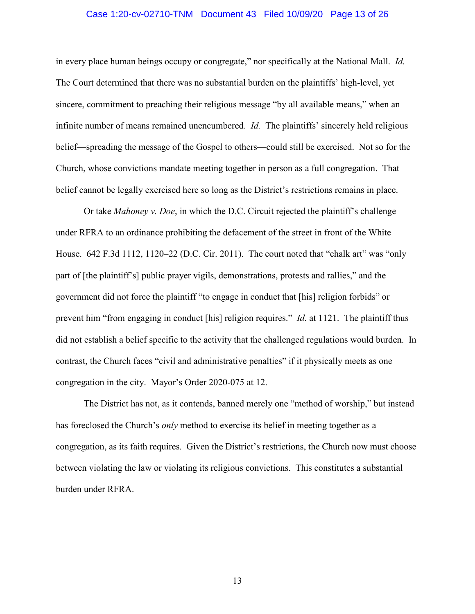# Case 1:20-cv-02710-TNM Document 43 Filed 10/09/20 Page 13 of 26

in every place human beings occupy or congregate," nor specifically at the National Mall. *Id.* The Court determined that there was no substantial burden on the plaintiffs' high-level, yet sincere, commitment to preaching their religious message "by all available means," when an infinite number of means remained unencumbered. *Id.* The plaintiffs' sincerely held religious belief—spreading the message of the Gospel to others—could still be exercised. Not so for the Church, whose convictions mandate meeting together in person as a full congregation. That belief cannot be legally exercised here so long as the District's restrictions remains in place.

Or take *Mahoney v. Doe*, in which the D.C. Circuit rejected the plaintiff's challenge under RFRA to an ordinance prohibiting the defacement of the street in front of the White House. 642 F.3d 1112, 1120–22 (D.C. Cir. 2011). The court noted that "chalk art" was "only part of [the plaintiff's] public prayer vigils, demonstrations, protests and rallies," and the government did not force the plaintiff "to engage in conduct that [his] religion forbids" or prevent him "from engaging in conduct [his] religion requires." *Id.* at 1121. The plaintiff thus did not establish a belief specific to the activity that the challenged regulations would burden. In contrast, the Church faces "civil and administrative penalties" if it physically meets as one congregation in the city. Mayor's Order 2020-075 at 12.

The District has not, as it contends, banned merely one "method of worship," but instead has foreclosed the Church's *only* method to exercise its belief in meeting together as a congregation, as its faith requires. Given the District's restrictions, the Church now must choose between violating the law or violating its religious convictions. This constitutes a substantial burden under RFRA.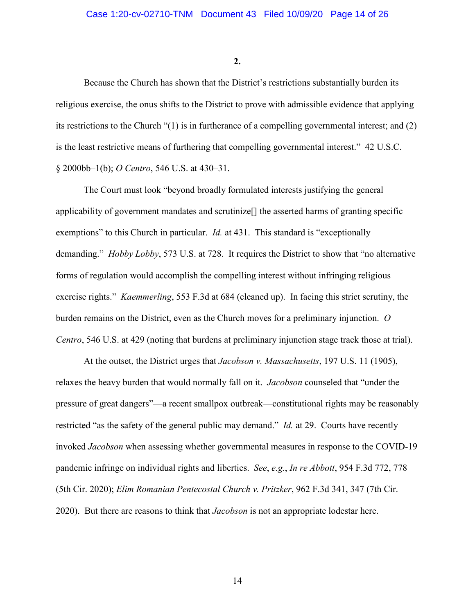**2.**

Because the Church has shown that the District's restrictions substantially burden its religious exercise, the onus shifts to the District to prove with admissible evidence that applying its restrictions to the Church "(1) is in furtherance of a compelling governmental interest; and (2) is the least restrictive means of furthering that compelling governmental interest." 42 U.S.C. § 2000bb–1(b); *O Centro*, 546 U.S. at 430–31.

The Court must look "beyond broadly formulated interests justifying the general applicability of government mandates and scrutinize[] the asserted harms of granting specific exemptions" to this Church in particular. *Id.* at 431. This standard is "exceptionally demanding." *Hobby Lobby*, 573 U.S. at 728. It requires the District to show that "no alternative forms of regulation would accomplish the compelling interest without infringing religious exercise rights." *Kaemmerling*, 553 F.3d at 684 (cleaned up). In facing this strict scrutiny, the burden remains on the District, even as the Church moves for a preliminary injunction. *O Centro*, 546 U.S. at 429 (noting that burdens at preliminary injunction stage track those at trial).

At the outset, the District urges that *Jacobson v. Massachusetts*, 197 U.S. 11 (1905), relaxes the heavy burden that would normally fall on it. *Jacobson* counseled that "under the pressure of great dangers"—a recent smallpox outbreak—constitutional rights may be reasonably restricted "as the safety of the general public may demand." *Id.* at 29. Courts have recently invoked *Jacobson* when assessing whether governmental measures in response to the COVID-19 pandemic infringe on individual rights and liberties. *See*, *e.g.*, *In re Abbott*, 954 F.3d 772, 778 (5th Cir. 2020); *Elim Romanian Pentecostal Church v. Pritzker*, 962 F.3d 341, 347 (7th Cir. 2020). But there are reasons to think that *Jacobson* is not an appropriate lodestar here.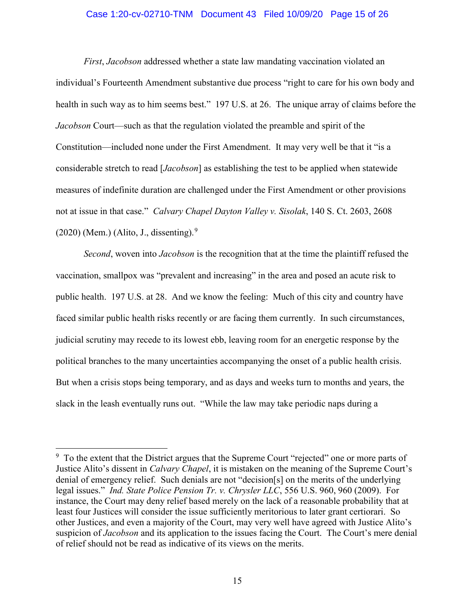# Case 1:20-cv-02710-TNM Document 43 Filed 10/09/20 Page 15 of 26

*First*, *Jacobson* addressed whether a state law mandating vaccination violated an individual's Fourteenth Amendment substantive due process "right to care for his own body and health in such way as to him seems best." 197 U.S. at 26. The unique array of claims before the *Jacobson* Court—such as that the regulation violated the preamble and spirit of the Constitution—included none under the First Amendment. It may very well be that it "is a considerable stretch to read [*Jacobson*] as establishing the test to be applied when statewide measures of indefinite duration are challenged under the First Amendment or other provisions not at issue in that case." *Calvary Chapel Dayton Valley v. Sisolak*, 140 S. Ct. 2603, 2608  $(2020)$  (Mem.) (Alito, J., dissenting).<sup>[9](#page-14-0)</sup>

*Second*, woven into *Jacobson* is the recognition that at the time the plaintiff refused the vaccination, smallpox was "prevalent and increasing" in the area and posed an acute risk to public health. 197 U.S. at 28. And we know the feeling: Much of this city and country have faced similar public health risks recently or are facing them currently. In such circumstances, judicial scrutiny may recede to its lowest ebb, leaving room for an energetic response by the political branches to the many uncertainties accompanying the onset of a public health crisis. But when a crisis stops being temporary, and as days and weeks turn to months and years, the slack in the leash eventually runs out. "While the law may take periodic naps during a

<span id="page-14-0"></span><sup>&</sup>lt;sup>-</sup> <sup>9</sup> To the extent that the District argues that the Supreme Court "rejected" one or more parts of Justice Alito's dissent in *Calvary Chapel*, it is mistaken on the meaning of the Supreme Court's denial of emergency relief. Such denials are not "decision[s] on the merits of the underlying legal issues." *Ind. State Police Pension Tr. v. Chrysler LLC*, 556 U.S. 960, 960 (2009). For instance, the Court may deny relief based merely on the lack of a reasonable probability that at least four Justices will consider the issue sufficiently meritorious to later grant certiorari. So other Justices, and even a majority of the Court, may very well have agreed with Justice Alito's suspicion of *Jacobson* and its application to the issues facing the Court. The Court's mere denial of relief should not be read as indicative of its views on the merits.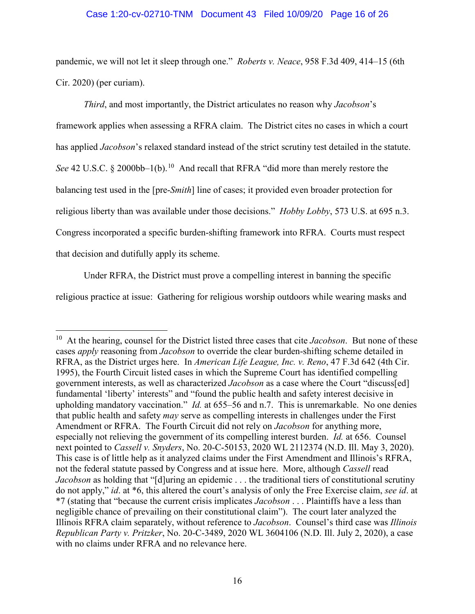# Case 1:20-cv-02710-TNM Document 43 Filed 10/09/20 Page 16 of 26

pandemic, we will not let it sleep through one." *Roberts v. Neace*, 958 F.3d 409, 414–15 (6th Cir. 2020) (per curiam).

*Third*, and most importantly, the District articulates no reason why *Jacobson*'s framework applies when assessing a RFRA claim. The District cites no cases in which a court has applied *Jacobson*'s relaxed standard instead of the strict scrutiny test detailed in the statute. *See* 42 U.S.C. § 2000bb–1(b).<sup>10</sup> And recall that RFRA "did more than merely restore the balancing test used in the [pre-*Smith*] line of cases; it provided even broader protection for religious liberty than was available under those decisions." *Hobby Lobby*, 573 U.S. at 695 n.3. Congress incorporated a specific burden-shifting framework into RFRA. Courts must respect that decision and dutifully apply its scheme.

Under RFRA, the District must prove a compelling interest in banning the specific

religious practice at issue: Gathering for religious worship outdoors while wearing masks and

<span id="page-15-0"></span> <sup>10</sup> At the hearing, counsel for the District listed three cases that cite *Jacobson*. But none of these cases *apply* reasoning from *Jacobson* to override the clear burden-shifting scheme detailed in RFRA, as the District urges here. In *American Life League, Inc. v. Reno*, 47 F.3d 642 (4th Cir. 1995), the Fourth Circuit listed cases in which the Supreme Court has identified compelling government interests, as well as characterized *Jacobson* as a case where the Court "discuss[ed] fundamental 'liberty' interests" and "found the public health and safety interest decisive in upholding mandatory vaccination." *Id.* at 655–56 and n.7. This is unremarkable. No one denies that public health and safety *may* serve as compelling interests in challenges under the First Amendment or RFRA. The Fourth Circuit did not rely on *Jacobson* for anything more, especially not relieving the government of its compelling interest burden. *Id.* at 656. Counsel next pointed to *Cassell v. Snyders*, No. 20-C-50153, 2020 WL 2112374 (N.D. Ill. May 3, 2020). This case is of little help as it analyzed claims under the First Amendment and Illinois's RFRA, not the federal statute passed by Congress and at issue here. More, although *Cassell* read *Jacobson* as holding that "[d]uring an epidemic . . . the traditional tiers of constitutional scrutiny do not apply," *id*. at \*6, this altered the court's analysis of only the Free Exercise claim, *see id*. at \*7 (stating that "because the current crisis implicates *Jacobson* . . . Plaintiffs have a less than negligible chance of prevailing on their constitutional claim"). The court later analyzed the Illinois RFRA claim separately, without reference to *Jacobson*. Counsel's third case was *Illinois Republican Party v. Pritzker*, No. 20-C-3489, 2020 WL 3604106 (N.D. Ill. July 2, 2020), a case with no claims under RFRA and no relevance here.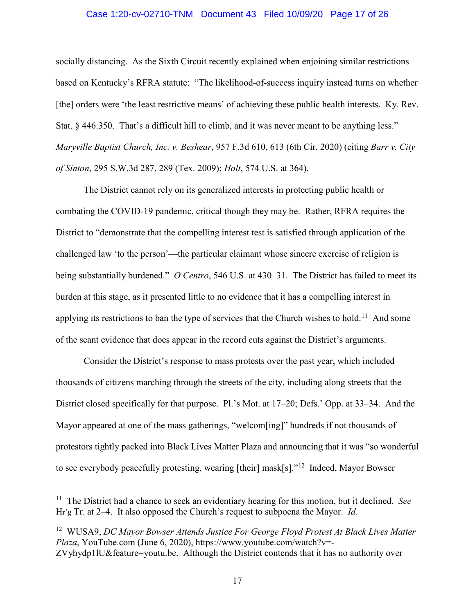# Case 1:20-cv-02710-TNM Document 43 Filed 10/09/20 Page 17 of 26

socially distancing. As the Sixth Circuit recently explained when enjoining similar restrictions based on Kentucky's RFRA statute: "The likelihood-of-success inquiry instead turns on whether [the] orders were 'the least restrictive means' of achieving these public health interests. Ky. Rev. Stat. § 446.350. That's a difficult hill to climb, and it was never meant to be anything less." *Maryville Baptist Church, Inc. v. Beshear*, 957 F.3d 610, 613 (6th Cir. 2020) (citing *Barr v. City of Sinton*, 295 S.W.3d 287, 289 (Tex. 2009); *Holt*, 574 U.S. at 364).

The District cannot rely on its generalized interests in protecting public health or combating the COVID-19 pandemic, critical though they may be. Rather, RFRA requires the District to "demonstrate that the compelling interest test is satisfied through application of the challenged law 'to the person'—the particular claimant whose sincere exercise of religion is being substantially burdened." *O Centro*, 546 U.S. at 430–31. The District has failed to meet its burden at this stage, as it presented little to no evidence that it has a compelling interest in applying its restrictions to ban the type of services that the Church wishes to hold.<sup>[11](#page-16-0)</sup> And some of the scant evidence that does appear in the record cuts against the District's arguments.

Consider the District's response to mass protests over the past year, which included thousands of citizens marching through the streets of the city, including along streets that the District closed specifically for that purpose. Pl.'s Mot. at 17–20; Defs.' Opp. at 33–34. And the Mayor appeared at one of the mass gatherings, "welcom[ing]" hundreds if not thousands of protestors tightly packed into Black Lives Matter Plaza and announcing that it was "so wonderful to see everybody peacefully protesting, wearing [their] mask[s]."<sup>12</sup> Indeed, Mayor Bowser

<span id="page-16-0"></span> <sup>11</sup> The District had a chance to seek an evidentiary hearing for this motion, but it declined. *See* Hr'g Tr. at 2–4. It also opposed the Church's request to subpoena the Mayor. *Id.*

<span id="page-16-1"></span><sup>12</sup> WUSA9, *DC Mayor Bowser Attends Justice For George Floyd Protest At Black Lives Matter Plaza*, YouTube.com (June 6, 2020), https://www.youtube.com/watch?v=- ZVyhydp1lU&feature=youtu.be. Although the District contends that it has no authority over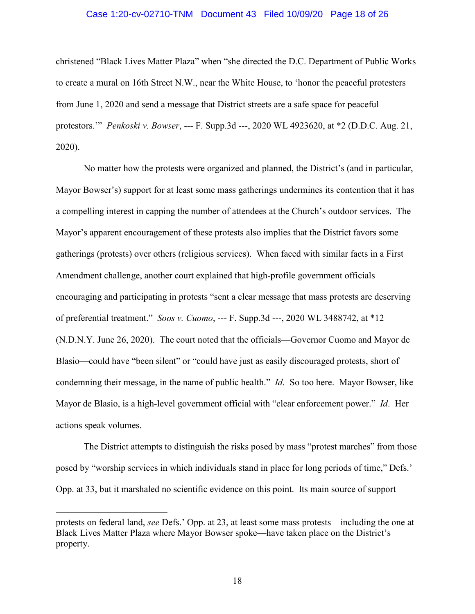# Case 1:20-cv-02710-TNM Document 43 Filed 10/09/20 Page 18 of 26

christened "Black Lives Matter Plaza" when "she directed the D.C. Department of Public Works to create a mural on 16th Street N.W., near the White House, to 'honor the peaceful protesters from June 1, 2020 and send a message that District streets are a safe space for peaceful protestors.'" *Penkoski v. Bowser*, --- F. Supp.3d ---, 2020 WL 4923620, at \*2 (D.D.C. Aug. 21, 2020).

No matter how the protests were organized and planned, the District's (and in particular, Mayor Bowser's) support for at least some mass gatherings undermines its contention that it has a compelling interest in capping the number of attendees at the Church's outdoor services. The Mayor's apparent encouragement of these protests also implies that the District favors some gatherings (protests) over others (religious services). When faced with similar facts in a First Amendment challenge, another court explained that high-profile government officials encouraging and participating in protests "sent a clear message that mass protests are deserving of preferential treatment." *Soos v. Cuomo*, --- F. Supp.3d ---, 2020 WL 3488742, at \*12 (N.D.N.Y. June 26, 2020). The court noted that the officials—Governor Cuomo and Mayor de Blasio—could have "been silent" or "could have just as easily discouraged protests, short of condemning their message, in the name of public health." *Id*. So too here. Mayor Bowser, like Mayor de Blasio, is a high-level government official with "clear enforcement power." *Id*. Her actions speak volumes.

The District attempts to distinguish the risks posed by mass "protest marches" from those posed by "worship services in which individuals stand in place for long periods of time," Defs.' Opp. at 33, but it marshaled no scientific evidence on this point. Its main source of support

 $\overline{a}$ 

protests on federal land, *see* Defs.' Opp. at 23, at least some mass protests—including the one at Black Lives Matter Plaza where Mayor Bowser spoke—have taken place on the District's property.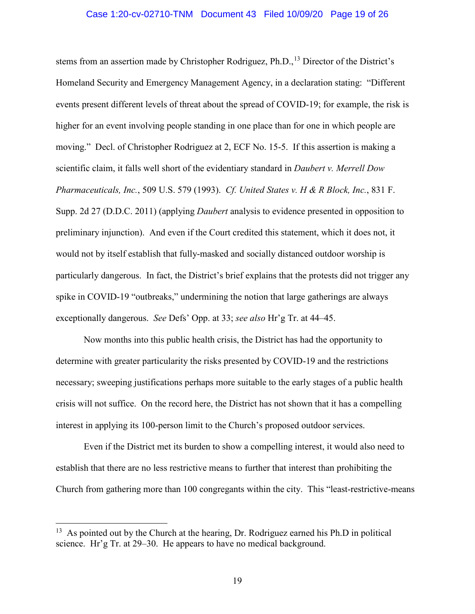### Case 1:20-cv-02710-TNM Document 43 Filed 10/09/20 Page 19 of 26

stems from an assertion made by Christopher Rodriguez, Ph.D.,<sup>[13](#page-18-0)</sup> Director of the District's Homeland Security and Emergency Management Agency, in a declaration stating: "Different events present different levels of threat about the spread of COVID-19; for example, the risk is higher for an event involving people standing in one place than for one in which people are moving." Decl. of Christopher Rodriguez at 2, ECF No. 15-5. If this assertion is making a scientific claim, it falls well short of the evidentiary standard in *Daubert v. Merrell Dow Pharmaceuticals, Inc.*, 509 U.S. 579 (1993). *Cf. United States v. H & R Block, Inc.*, 831 F. Supp. 2d 27 (D.D.C. 2011) (applying *Daubert* analysis to evidence presented in opposition to preliminary injunction). And even if the Court credited this statement, which it does not, it would not by itself establish that fully-masked and socially distanced outdoor worship is particularly dangerous. In fact, the District's brief explains that the protests did not trigger any spike in COVID-19 "outbreaks," undermining the notion that large gatherings are always exceptionally dangerous. *See* Defs' Opp. at 33; *see also* Hr'g Tr. at 44–45.

Now months into this public health crisis, the District has had the opportunity to determine with greater particularity the risks presented by COVID-19 and the restrictions necessary; sweeping justifications perhaps more suitable to the early stages of a public health crisis will not suffice. On the record here, the District has not shown that it has a compelling interest in applying its 100-person limit to the Church's proposed outdoor services.

Even if the District met its burden to show a compelling interest, it would also need to establish that there are no less restrictive means to further that interest than prohibiting the Church from gathering more than 100 congregants within the city. This "least-restrictive-means

<span id="page-18-0"></span> $13$  As pointed out by the Church at the hearing, Dr. Rodriguez earned his Ph.D in political science. Hr'g Tr. at 29–30. He appears to have no medical background.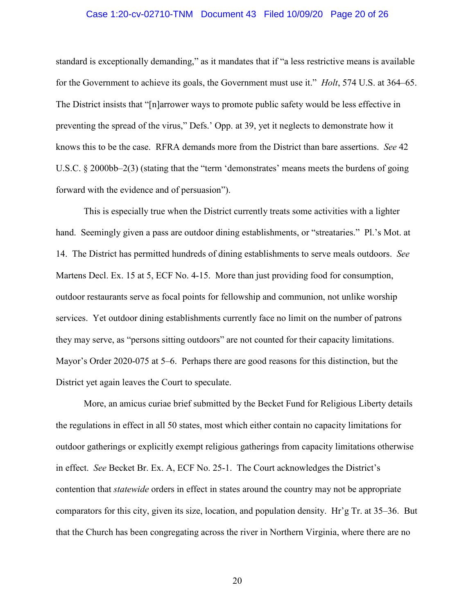# Case 1:20-cv-02710-TNM Document 43 Filed 10/09/20 Page 20 of 26

standard is exceptionally demanding," as it mandates that if "a less restrictive means is available for the Government to achieve its goals, the Government must use it." *Holt*, 574 U.S. at 364–65. The District insists that "[n]arrower ways to promote public safety would be less effective in preventing the spread of the virus," Defs.' Opp. at 39, yet it neglects to demonstrate how it knows this to be the case. RFRA demands more from the District than bare assertions. *See* 42 U.S.C. § 2000bb–2(3) (stating that the "term 'demonstrates' means meets the burdens of going forward with the evidence and of persuasion").

This is especially true when the District currently treats some activities with a lighter hand. Seemingly given a pass are outdoor dining establishments, or "streataries." Pl.'s Mot. at 14. The District has permitted hundreds of dining establishments to serve meals outdoors. *See*  Martens Decl. Ex. 15 at 5, ECF No. 4-15. More than just providing food for consumption, outdoor restaurants serve as focal points for fellowship and communion, not unlike worship services. Yet outdoor dining establishments currently face no limit on the number of patrons they may serve, as "persons sitting outdoors" are not counted for their capacity limitations. Mayor's Order 2020-075 at 5–6. Perhaps there are good reasons for this distinction, but the District yet again leaves the Court to speculate.

More, an amicus curiae brief submitted by the Becket Fund for Religious Liberty details the regulations in effect in all 50 states, most which either contain no capacity limitations for outdoor gatherings or explicitly exempt religious gatherings from capacity limitations otherwise in effect. *See* Becket Br. Ex. A, ECF No. 25-1. The Court acknowledges the District's contention that *statewide* orders in effect in states around the country may not be appropriate comparators for this city, given its size, location, and population density. Hr'g Tr. at 35–36. But that the Church has been congregating across the river in Northern Virginia, where there are no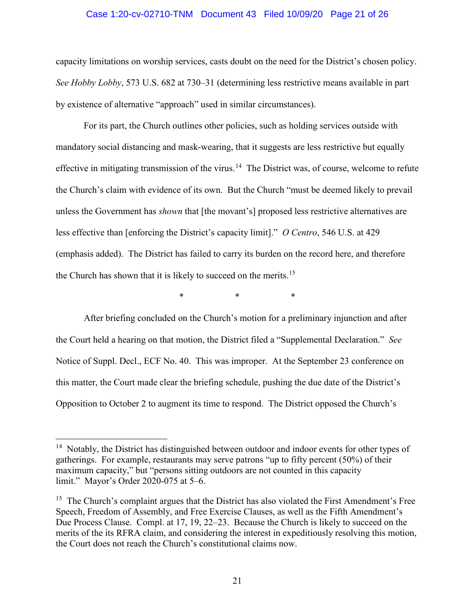# Case 1:20-cv-02710-TNM Document 43 Filed 10/09/20 Page 21 of 26

capacity limitations on worship services, casts doubt on the need for the District's chosen policy. *See Hobby Lobby*, 573 U.S. 682 at 730–31 (determining less restrictive means available in part by existence of alternative "approach" used in similar circumstances).

For its part, the Church outlines other policies, such as holding services outside with mandatory social distancing and mask-wearing, that it suggests are less restrictive but equally effective in mitigating transmission of the virus.<sup>14</sup> The District was, of course, welcome to refute the Church's claim with evidence of its own. But the Church "must be deemed likely to prevail unless the Government has *shown* that [the movant's] proposed less restrictive alternatives are less effective than [enforcing the District's capacity limit]." *O Centro*, 546 U.S. at 429 (emphasis added). The District has failed to carry its burden on the record here, and therefore the Church has shown that it is likely to succeed on the merits.<sup>[15](#page-20-1)</sup>

\* \* \*

After briefing concluded on the Church's motion for a preliminary injunction and after the Court held a hearing on that motion, the District filed a "Supplemental Declaration." *See*  Notice of Suppl. Decl., ECF No. 40. This was improper. At the September 23 conference on this matter, the Court made clear the briefing schedule, pushing the due date of the District's Opposition to October 2 to augment its time to respond. The District opposed the Church's

<span id="page-20-0"></span><sup>&</sup>lt;sup>14</sup> Notably, the District has distinguished between outdoor and indoor events for other types of gatherings. For example, restaurants may serve patrons "up to fifty percent (50%) of their maximum capacity," but "persons sitting outdoors are not counted in this capacity limit." Mayor's Order 2020-075 at 5–6.

<span id="page-20-1"></span> $15$  The Church's complaint argues that the District has also violated the First Amendment's Free Speech, Freedom of Assembly, and Free Exercise Clauses, as well as the Fifth Amendment's Due Process Clause. Compl. at 17, 19, 22–23. Because the Church is likely to succeed on the merits of the its RFRA claim, and considering the interest in expeditiously resolving this motion, the Court does not reach the Church's constitutional claims now.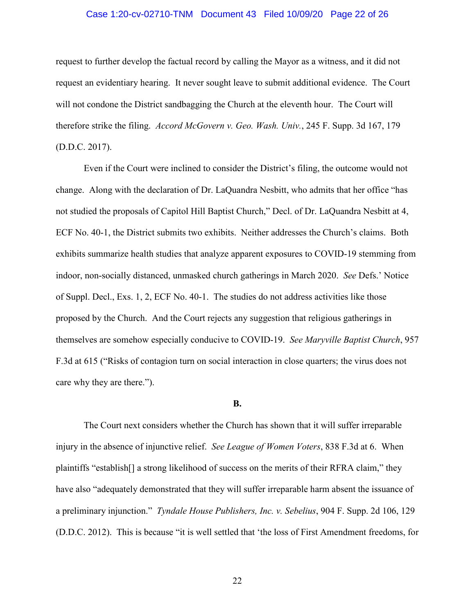# Case 1:20-cv-02710-TNM Document 43 Filed 10/09/20 Page 22 of 26

request to further develop the factual record by calling the Mayor as a witness, and it did not request an evidentiary hearing. It never sought leave to submit additional evidence. The Court will not condone the District sandbagging the Church at the eleventh hour. The Court will therefore strike the filing. *Accord McGovern v. Geo. Wash. Univ.*, 245 F. Supp. 3d 167, 179 (D.D.C. 2017).

Even if the Court were inclined to consider the District's filing, the outcome would not change. Along with the declaration of Dr. LaQuandra Nesbitt, who admits that her office "has not studied the proposals of Capitol Hill Baptist Church," Decl. of Dr. LaQuandra Nesbitt at 4, ECF No. 40-1, the District submits two exhibits. Neither addresses the Church's claims. Both exhibits summarize health studies that analyze apparent exposures to COVID-19 stemming from indoor, non-socially distanced, unmasked church gatherings in March 2020. *See* Defs.' Notice of Suppl. Decl., Exs. 1, 2, ECF No. 40-1. The studies do not address activities like those proposed by the Church. And the Court rejects any suggestion that religious gatherings in themselves are somehow especially conducive to COVID-19. *See Maryville Baptist Church*, 957 F.3d at 615 ("Risks of contagion turn on social interaction in close quarters; the virus does not care why they are there.").

#### **B.**

The Court next considers whether the Church has shown that it will suffer irreparable injury in the absence of injunctive relief. *See League of Women Voters*, 838 F.3d at 6. When plaintiffs "establish[] a strong likelihood of success on the merits of their RFRA claim," they have also "adequately demonstrated that they will suffer irreparable harm absent the issuance of a preliminary injunction." *Tyndale House Publishers, Inc. v. Sebelius*, 904 F. Supp. 2d 106, 129 (D.D.C. 2012). This is because "it is well settled that 'the loss of First Amendment freedoms, for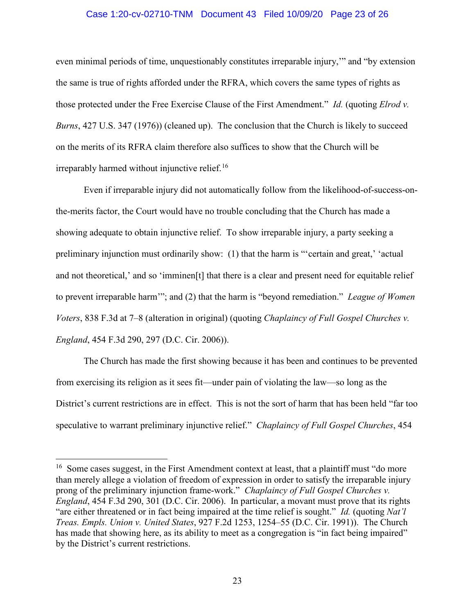# Case 1:20-cv-02710-TNM Document 43 Filed 10/09/20 Page 23 of 26

even minimal periods of time, unquestionably constitutes irreparable injury,'" and "by extension the same is true of rights afforded under the RFRA, which covers the same types of rights as those protected under the Free Exercise Clause of the First Amendment." *Id.* (quoting *Elrod v. Burns*, 427 U.S. 347 (1976)) (cleaned up). The conclusion that the Church is likely to succeed on the merits of its RFRA claim therefore also suffices to show that the Church will be  $irreparably \text{,}$  irreparably harmed without injunctive relief.<sup>[16](#page-22-0)</sup>

Even if irreparable injury did not automatically follow from the likelihood-of-success-onthe-merits factor, the Court would have no trouble concluding that the Church has made a showing adequate to obtain injunctive relief. To show irreparable injury, a party seeking a preliminary injunction must ordinarily show: (1) that the harm is "'certain and great,' 'actual and not theoretical,' and so 'imminen[t] that there is a clear and present need for equitable relief to prevent irreparable harm'"; and (2) that the harm is "beyond remediation." *League of Women Voters*, 838 F.3d at 7–8 (alteration in original) (quoting *Chaplaincy of Full Gospel Churches v. England*, 454 F.3d 290, 297 (D.C. Cir. 2006)).

The Church has made the first showing because it has been and continues to be prevented from exercising its religion as it sees fit—under pain of violating the law—so long as the District's current restrictions are in effect. This is not the sort of harm that has been held "far too speculative to warrant preliminary injunctive relief." *Chaplaincy of Full Gospel Churches*, 454

<span id="page-22-0"></span><sup>&</sup>lt;sup>16</sup> Some cases suggest, in the First Amendment context at least, that a plaintiff must "do more" than merely allege a violation of freedom of expression in order to satisfy the irreparable injury prong of the preliminary injunction frame-work." *Chaplaincy of Full Gospel Churches v. England*, 454 F.3d 290, 301 (D.C. Cir. 2006). In particular, a movant must prove that its rights "are either threatened or in fact being impaired at the time relief is sought." *Id.* (quoting *Nat'l Treas. Empls. Union v. United States*, 927 F.2d 1253, 1254–55 (D.C. Cir. 1991)). The Church has made that showing here, as its ability to meet as a congregation is "in fact being impaired" by the District's current restrictions.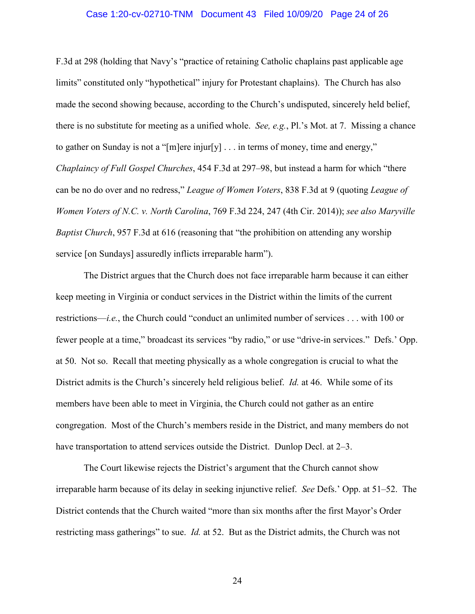### Case 1:20-cv-02710-TNM Document 43 Filed 10/09/20 Page 24 of 26

F.3d at 298 (holding that Navy's "practice of retaining Catholic chaplains past applicable age limits" constituted only "hypothetical" injury for Protestant chaplains). The Church has also made the second showing because, according to the Church's undisputed, sincerely held belief, there is no substitute for meeting as a unified whole. *See, e.g.*, Pl.'s Mot. at 7. Missing a chance to gather on Sunday is not a "[m]ere injur[y]  $\dots$  in terms of money, time and energy," *Chaplaincy of Full Gospel Churches*, 454 F.3d at 297–98, but instead a harm for which "there can be no do over and no redress," *League of Women Voters*, 838 F.3d at 9 (quoting *League of Women Voters of N.C. v. North Carolina*, 769 F.3d 224, 247 (4th Cir. 2014)); *see also Maryville Baptist Church*, 957 F.3d at 616 (reasoning that "the prohibition on attending any worship service [on Sundays] assuredly inflicts irreparable harm").

The District argues that the Church does not face irreparable harm because it can either keep meeting in Virginia or conduct services in the District within the limits of the current restrictions—*i.e.*, the Church could "conduct an unlimited number of services . . . with 100 or fewer people at a time," broadcast its services "by radio," or use "drive-in services." Defs.' Opp. at 50. Not so. Recall that meeting physically as a whole congregation is crucial to what the District admits is the Church's sincerely held religious belief. *Id.* at 46. While some of its members have been able to meet in Virginia, the Church could not gather as an entire congregation. Most of the Church's members reside in the District, and many members do not have transportation to attend services outside the District. Dunlop Decl. at 2–3.

The Court likewise rejects the District's argument that the Church cannot show irreparable harm because of its delay in seeking injunctive relief. *See* Defs.' Opp. at 51–52. The District contends that the Church waited "more than six months after the first Mayor's Order restricting mass gatherings" to sue. *Id.* at 52. But as the District admits, the Church was not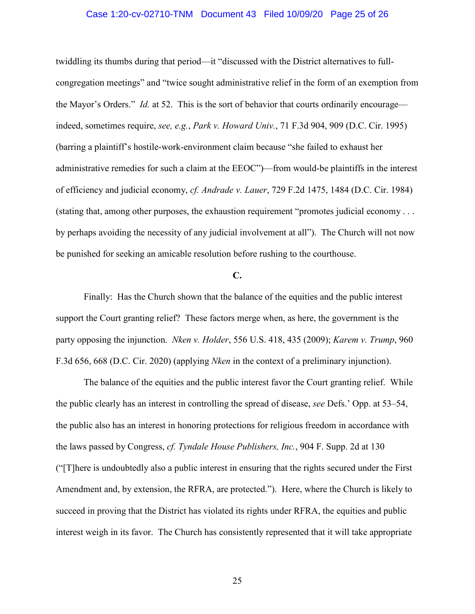# Case 1:20-cv-02710-TNM Document 43 Filed 10/09/20 Page 25 of 26

twiddling its thumbs during that period—it "discussed with the District alternatives to fullcongregation meetings" and "twice sought administrative relief in the form of an exemption from the Mayor's Orders." *Id.* at 52. This is the sort of behavior that courts ordinarily encourage indeed, sometimes require, *see, e.g.*, *Park v. Howard Univ.*, 71 F.3d 904, 909 (D.C. Cir. 1995) (barring a plaintiff's hostile-work-environment claim because "she failed to exhaust her administrative remedies for such a claim at the EEOC")—from would-be plaintiffs in the interest of efficiency and judicial economy, *cf. Andrade v. Lauer*, 729 F.2d 1475, 1484 (D.C. Cir. 1984) (stating that, among other purposes, the exhaustion requirement "promotes judicial economy . . . by perhaps avoiding the necessity of any judicial involvement at all"). The Church will not now be punished for seeking an amicable resolution before rushing to the courthouse.

# **C.**

Finally: Has the Church shown that the balance of the equities and the public interest support the Court granting relief? These factors merge when, as here, the government is the party opposing the injunction. *Nken v. Holder*, 556 U.S. 418, 435 (2009); *Karem v. Trump*, 960 F.3d 656, 668 (D.C. Cir. 2020) (applying *Nken* in the context of a preliminary injunction).

The balance of the equities and the public interest favor the Court granting relief. While the public clearly has an interest in controlling the spread of disease, *see* Defs.' Opp. at 53–54, the public also has an interest in honoring protections for religious freedom in accordance with the laws passed by Congress, *cf. Tyndale House Publishers, Inc.*, 904 F. Supp. 2d at 130 ("[T]here is undoubtedly also a public interest in ensuring that the rights secured under the First Amendment and, by extension, the RFRA, are protected."). Here, where the Church is likely to succeed in proving that the District has violated its rights under RFRA, the equities and public interest weigh in its favor. The Church has consistently represented that it will take appropriate